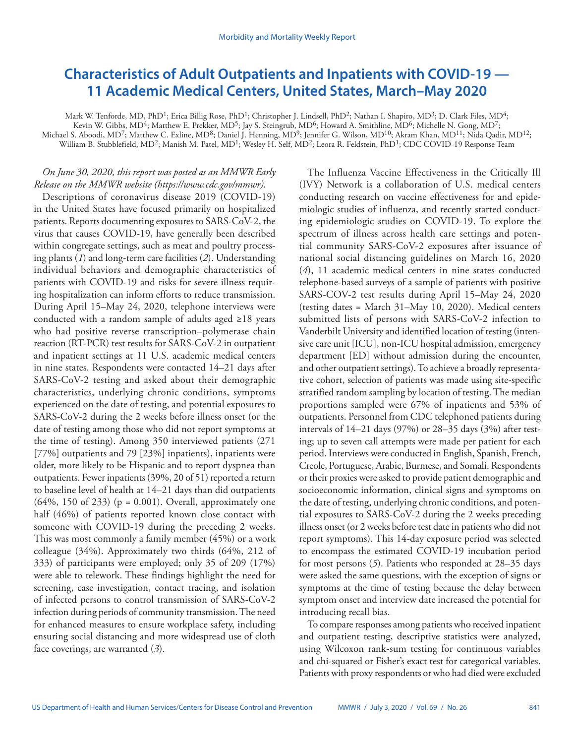# **Characteristics of Adult Outpatients and Inpatients with COVID-19 — 11 Academic Medical Centers, United States, March–May 2020**

Mark W. Tenforde, MD, PhD<sup>1</sup>; Erica Billig Rose, PhD<sup>1</sup>; Christopher J. Lindsell, PhD<sup>2</sup>; Nathan I. Shapiro, MD<sup>3</sup>; D. Clark Files, MD<sup>4</sup>; Kevin W. Gibbs, MD<sup>4</sup>; Matthew E. Prekker, MD<sup>5</sup>; Jay S. Steingrub, MD<sup>6</sup>; Howard A. Smithline, MD<sup>6</sup>; Michelle N. Gong, MD<sup>7</sup>; Michael S. Aboodi, MD<sup>7</sup>; Matthew C. Exline, MD<sup>8</sup>; Daniel J. Henning, MD<sup>9</sup>; Jennifer G. Wilson, MD<sup>10</sup>; Akram Khan, MD<sup>11</sup>; Nida Qadir, MD<sup>12</sup>; William B. Stubblefield, MD<sup>2</sup>; Manish M. Patel, MD<sup>1</sup>; Wesley H. Self, MD<sup>2</sup>; Leora R. Feldstein, PhD<sup>1</sup>; CDC COVID-19 Response Team

# *On June 30, 2020, this report was posted as an MMWR Early Release on the MMWR website (<https://www.cdc.gov/mmwr>).*

Descriptions of coronavirus disease 2019 (COVID-19) in the United States have focused primarily on hospitalized patients. Reports documenting exposures to SARS-CoV-2, the virus that causes COVID-19, have generally been described within congregate settings, such as meat and poultry processing plants (*1*) and long-term care facilities (*2*). Understanding individual behaviors and demographic characteristics of patients with COVID-19 and risks for severe illness requiring hospitalization can inform efforts to reduce transmission. During April 15–May 24, 2020, telephone interviews were conducted with a random sample of adults aged ≥18 years who had positive reverse transcription–polymerase chain reaction (RT-PCR) test results for SARS-CoV-2 in outpatient and inpatient settings at 11 U.S. academic medical centers in nine states. Respondents were contacted 14–21 days after SARS-CoV-2 testing and asked about their demographic characteristics, underlying chronic conditions, symptoms experienced on the date of testing, and potential exposures to SARS-CoV-2 during the 2 weeks before illness onset (or the date of testing among those who did not report symptoms at the time of testing). Among 350 interviewed patients (271 [77%] outpatients and 79 [23%] inpatients), inpatients were older, more likely to be Hispanic and to report dyspnea than outpatients. Fewer inpatients (39%, 20 of 51) reported a return to baseline level of health at 14–21 days than did outpatients  $(64\%, 150 \text{ of } 233)$  (p = 0.001). Overall, approximately one half (46%) of patients reported known close contact with someone with COVID-19 during the preceding 2 weeks. This was most commonly a family member (45%) or a work colleague (34%). Approximately two thirds (64%, 212 of 333) of participants were employed; only 35 of 209 (17%) were able to telework. These findings highlight the need for screening, case investigation, contact tracing, and isolation of infected persons to control transmission of SARS-CoV-2 infection during periods of community transmission. The need for enhanced measures to ensure workplace safety, including ensuring social distancing and more widespread use of cloth face coverings, are warranted (*3*).

The Influenza Vaccine Effectiveness in the Critically Ill (IVY) Network is a collaboration of U.S. medical centers conducting research on vaccine effectiveness for and epidemiologic studies of influenza, and recently started conducting epidemiologic studies on COVID-19. To explore the spectrum of illness across health care settings and potential community SARS-CoV-2 exposures after issuance of national social distancing guidelines on March 16, 2020 (*4*), 11 academic medical centers in nine states conducted telephone-based surveys of a sample of patients with positive SARS-COV-2 test results during April 15–May 24, 2020 (testing dates = March 31–May 10, 2020). Medical centers submitted lists of persons with SARS-CoV-2 infection to Vanderbilt University and identified location of testing (intensive care unit [ICU], non-ICU hospital admission, emergency department [ED] without admission during the encounter, and other outpatient settings). To achieve a broadly representative cohort, selection of patients was made using site-specific stratified random sampling by location of testing. The median proportions sampled were 67% of inpatients and 53% of outpatients. Personnel from CDC telephoned patients during intervals of 14–21 days (97%) or 28–35 days (3%) after testing; up to seven call attempts were made per patient for each period. Interviews were conducted in English, Spanish, French, Creole, Portuguese, Arabic, Burmese, and Somali. Respondents or their proxies were asked to provide patient demographic and socioeconomic information, clinical signs and symptoms on the date of testing, underlying chronic conditions, and potential exposures to SARS-CoV-2 during the 2 weeks preceding illness onset (or 2 weeks before test date in patients who did not report symptoms). This 14-day exposure period was selected to encompass the estimated COVID-19 incubation period for most persons (*5*). Patients who responded at 28–35 days were asked the same questions, with the exception of signs or symptoms at the time of testing because the delay between symptom onset and interview date increased the potential for introducing recall bias.

To compare responses among patients who received inpatient and outpatient testing, descriptive statistics were analyzed, using Wilcoxon rank-sum testing for continuous variables and chi-squared or Fisher's exact test for categorical variables. Patients with proxy respondents or who had died were excluded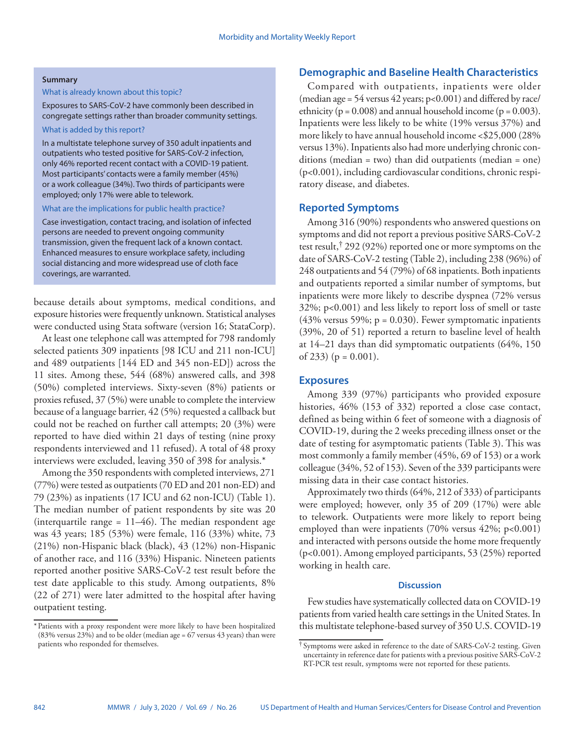#### **Summary**

# What is already known about this topic?

Exposures to SARS-CoV-2 have commonly been described in congregate settings rather than broader community settings.

# What is added by this report?

In a multistate telephone survey of 350 adult inpatients and outpatients who tested positive for SARS-CoV-2 infection, only 46% reported recent contact with a COVID-19 patient. Most participants' contacts were a family member (45%) or a work colleague (34%). Two thirds of participants were employed; only 17% were able to telework.

### What are the implications for public health practice?

Case investigation, contact tracing, and isolation of infected persons are needed to prevent ongoing community transmission, given the frequent lack of a known contact. Enhanced measures to ensure workplace safety, including social distancing and more widespread use of cloth face coverings, are warranted.

because details about symptoms, medical conditions, and exposure histories were frequently unknown. Statistical analyses were conducted using Stata software (version 16; StataCorp).

At least one telephone call was attempted for 798 randomly selected patients 309 inpatients [98 ICU and 211 non-ICU] and 489 outpatients [144 ED and 345 non-ED]) across the 11 sites. Among these, 544 (68%) answered calls, and 398 (50%) completed interviews. Sixty-seven (8%) patients or proxies refused, 37 (5%) were unable to complete the interview because of a language barrier, 42 (5%) requested a callback but could not be reached on further call attempts; 20 (3%) were reported to have died within 21 days of testing (nine proxy respondents interviewed and 11 refused). A total of 48 proxy interviews were excluded, leaving 350 of 398 for analysis.\*

Among the 350 respondents with completed interviews, 271 (77%) were tested as outpatients (70 ED and 201 non-ED) and 79 (23%) as inpatients (17 ICU and 62 non-ICU) (Table 1). The median number of patient respondents by site was 20 (interquartile range =  $11-46$ ). The median respondent age was 43 years; 185 (53%) were female, 116 (33%) white, 73 (21%) non-Hispanic black (black), 43 (12%) non-Hispanic of another race, and 116 (33%) Hispanic. Nineteen patients reported another positive SARS-CoV-2 test result before the test date applicable to this study. Among outpatients, 8% (22 of 271) were later admitted to the hospital after having outpatient testing.

# **Demographic and Baseline Health Characteristics**

Compared with outpatients, inpatients were older (median age =  $54$  versus 42 years; p<0.001) and differed by race/ ethnicity ( $p = 0.008$ ) and annual household income ( $p = 0.003$ ). Inpatients were less likely to be white (19% versus 37%) and more likely to have annual household income <\$25,000 (28% versus 13%). Inpatients also had more underlying chronic conditions (median = two) than did outpatients (median = one) (p<0.001), including cardiovascular conditions, chronic respiratory disease, and diabetes.

# **Reported Symptoms**

Among 316 (90%) respondents who answered questions on symptoms and did not report a previous positive SARS-CoV-2 test result,† 292 (92%) reported one or more symptoms on the date of SARS-CoV-2 testing (Table 2), including 238 (96%) of 248 outpatients and 54 (79%) of 68 inpatients. Both inpatients and outpatients reported a similar number of symptoms, but inpatients were more likely to describe dyspnea (72% versus 32%; p<0.001) and less likely to report loss of smell or taste (43% versus 59%;  $p = 0.030$ ). Fewer symptomatic inpatients (39%, 20 of 51) reported a return to baseline level of health at 14–21 days than did symptomatic outpatients (64%, 150 of 233) ( $p = 0.001$ ).

# **Exposures**

Among 339 (97%) participants who provided exposure histories,  $46\%$  (153 of 332) reported a close case contact, defined as being within 6 feet of someone with a diagnosis of COVID-19, during the 2 weeks preceding illness onset or the date of testing for asymptomatic patients (Table 3). This was most commonly a family member (45%, 69 of 153) or a work colleague (34%, 52 of 153). Seven of the 339 participants were missing data in their case contact histories.

Approximately two thirds (64%, 212 of 333) of participants were employed; however, only 35 of 209 (17%) were able to telework. Outpatients were more likely to report being employed than were inpatients  $(70\% \text{ versus } 42\%; \text{ p<0.001})$ and interacted with persons outside the home more frequently (p<0.001). Among employed participants, 53 (25%) reported working in health care.

## **Discussion**

Few studies have systematically collected data on COVID-19 patients from varied health care settings in the United States. In this multistate telephone-based survey of 350 U.S. COVID-19

<sup>\*</sup>Patients with a proxy respondent were more likely to have been hospitalized (83% versus  $23\%$ ) and to be older (median age = 67 versus 43 years) than were patients who responded for themselves.

<sup>†</sup> Symptoms were asked in reference to the date of SARS-CoV-2 testing. Given uncertainty in reference date for patients with a previous positive SARS-CoV-2 RT-PCR test result, symptoms were not reported for these patients.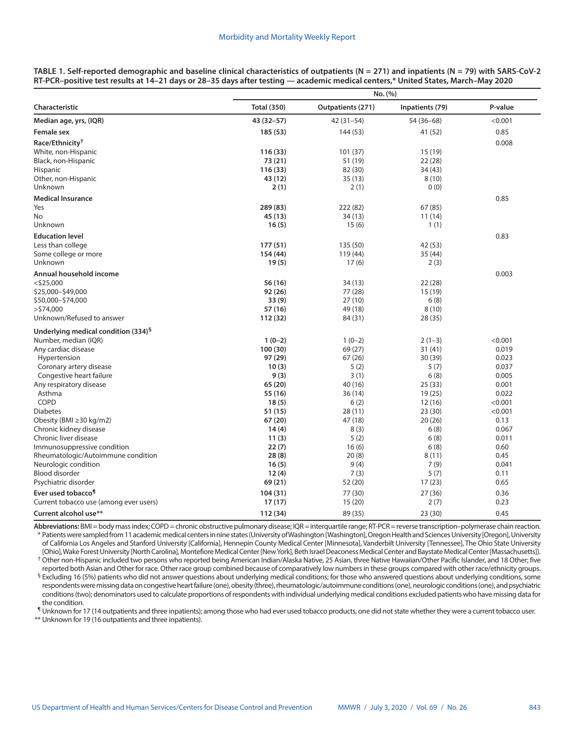|                                                 | No. (%)            |                   |                 |         |  |
|-------------------------------------------------|--------------------|-------------------|-----------------|---------|--|
| Characteristic                                  | <b>Total (350)</b> | Outpatients (271) | Inpatients (79) | P-value |  |
| Median age, yrs, (IQR)                          | 43 (32-57)         | $42(31-54)$       | 54 (36-68)      | < 0.001 |  |
| <b>Female sex</b>                               | 185 (53)           | 144 (53)          | 41 (52)         | 0.85    |  |
| Race/Ethnicity <sup>†</sup>                     |                    |                   |                 | 0.008   |  |
| White, non-Hispanic                             | 116(33)            | 101(37)           | 15 (19)         |         |  |
| Black, non-Hispanic                             | 73 (21)            | 51 (19)           | 22(28)          |         |  |
| Hispanic                                        | 116(33)            | 82 (30)           | 34 (43)         |         |  |
| Other, non-Hispanic                             | 43 (12)            | 35(13)            | 8(10)           |         |  |
| Unknown                                         | 2(1)               | 2(1)              | 0(0)            |         |  |
| <b>Medical Insurance</b>                        |                    |                   |                 | 0.85    |  |
| Yes                                             | 289 (83)           | 222 (82)          | 67(85)          |         |  |
| No                                              | 45 (13)            | 34(13)            | 11(14)          |         |  |
| Unknown                                         | 16(5)              | 15(6)             | 1(1)            |         |  |
| <b>Education level</b>                          |                    |                   |                 | 0.83    |  |
| Less than college                               | 177(51)            | 135 (50)          | 42 (53)         |         |  |
| Some college or more                            | 154 (44)           | 119 (44)          | 35(44)          |         |  |
| Unknown                                         | 19(5)              | 17(6)             | 2(3)            |         |  |
| Annual household income                         |                    |                   |                 | 0.003   |  |
| $<$ \$25,000                                    | 56 (16)            | 34(13)            | 22(28)          |         |  |
| \$25,000-\$49,000                               | 92 (26)            | 77 (28)           | 15 (19)         |         |  |
| \$50,000-\$74,000                               | 33(9)              | 27(10)            | 6(8)            |         |  |
| $>$ \$74,000                                    | 57 (16)            | 49 (18)           | 8(10)           |         |  |
| Unknown/Refused to answer                       | 112 (32)           | 84 (31)           | 28 (35)         |         |  |
| Underlying medical condition (334) <sup>§</sup> |                    |                   |                 |         |  |
| Number, median (IQR)                            | $1(0-2)$           | $1(0-2)$          | $2(1-3)$        | < 0.001 |  |
| Any cardiac disease                             | 100 (30)           | 69 (27)           | 31(41)          | 0.019   |  |
| Hypertension                                    | 97 (29)            | 67(26)            | 30(39)          | 0.023   |  |
| Coronary artery disease                         | 10(3)              | 5(2)              | 5(7)            | 0.037   |  |
| Congestive heart failure                        | 9(3)               | 3(1)              | 6(8)            | 0.005   |  |
| Any respiratory disease                         | 65 (20)            | 40 (16)           | 25(33)          | 0.001   |  |
| Asthma                                          | 55 (16)            | 36(14)            | 19(25)          | 0.022   |  |
| COPD                                            | 18(5)              | 6(2)              | 12(16)          | < 0.001 |  |
| <b>Diabetes</b>                                 | 51 (15)            | 28(11)            | 23(30)          | < 0.001 |  |
| Obesity (BMI ≥30 kg/m2)                         | 67 (20)            | 47 (18)           | 20(26)          | 0.13    |  |
| Chronic kidney disease                          | 14(4)              | 8(3)              | 6(8)            | 0.067   |  |
| Chronic liver disease                           | 11(3)              | 5(2)              | 6(8)            | 0.011   |  |
| Immunosuppressive condition                     | 22(7)              | 16(6)             | 6(8)            | 0.60    |  |
| Rheumatologic/Autoimmune condition              | 28(8)              | 20(8)             | 8(11)           | 0.45    |  |
| Neurologic condition                            | 16(5)              | 9(4)              | 7(9)            | 0.041   |  |
| <b>Blood disorder</b>                           | 12(4)              | 7(3)              | 5(7)            | 0.11    |  |
| Psychiatric disorder                            | 69 (21)            | 52 (20)           | 17(23)          | 0.65    |  |
| Ever used tobacco <sup>¶</sup>                  | 104(31)            | 77 (30)           | 27(36)          | 0.36    |  |
| Current tobacco use (among ever users)          | 17(17)             | 15(20)            | 2(7)            | 0.23    |  |
| Current alcohol use**                           | 112 (34)           | 89 (35)           | 23(30)          | 0.45    |  |

**TABLE 1. Self-reported demographic and baseline clinical characteristics of outpatients (N = 271) and inpatients (N = 79) with SARS-CoV-2 RT-PCR–positive test results at 14–21 days or 28–35 days after testing — academic medical centers,\* United States, March–May 2020**

**Abbreviations:** BMI = body mass index; COPD = chronic obstructive pulmonary disease; IQR = interquartile range; RT-PCR = reverse transcription–polymerase chain reaction. \* Patients were sampled from 11 academic medical centers in nine states (University of Washington [Washington], Oregon Health and Sciences University [Oregon], University of California Los Angeles and Stanford University [California], Hennepin County Medical Center [Minnesota], Vanderbilt University [Tennessee], The Ohio State University [Ohio], Wake Forest University [North Carolina], Montefiore Medical Center [New York], Beth Israel Deaconess Medical Center and Baystate Medical Center [Massachusetts]). † Other non-Hispanic included two persons who reported being American Indian/Alaska Native, 25 Asian, three Native Hawaiian/Other Pacific Islander, and 18 Other; five

reported both Asian and Other for race. Other race group combined because of comparatively low numbers in these groups compared with other race/ethnicity groups.  ${}^{\text{6}}$  Excluding 16 (5%) patients who did not answer questions about underlying medical conditions; for those who answered questions about underlying conditions, some respondents were missing data on congestive heart failure (one), obesity (three), rheumatologic/autoimmune conditions (one), neurologic conditions (one), and psychiatric

conditions (two); denominators used to calculate proportions of respondents with individual underlying medical conditions excluded patients who have missing data for the condition. ¶ Unknown for 17 (14 outpatients and three inpatients); among those who had ever used tobacco products, one did not state whether they were a current tobacco user.

\*\* Unknown for 19 (16 outpatients and three inpatients).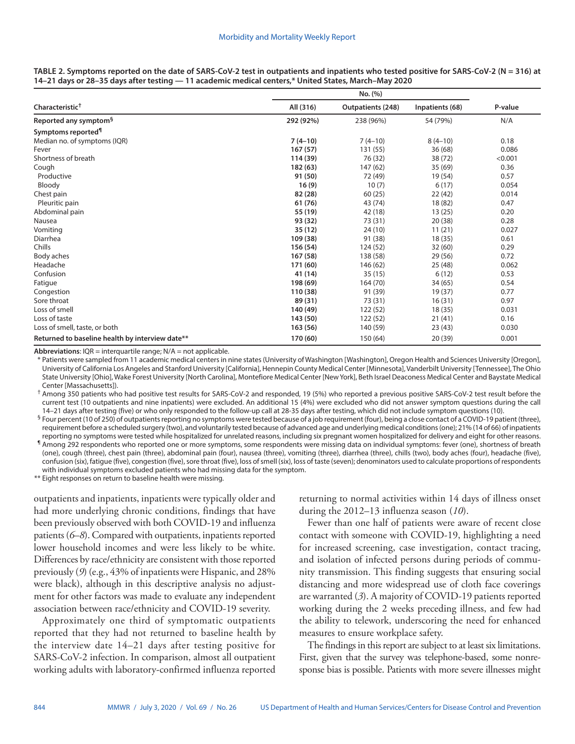|                                                 | No. (%)   |                          |                 |         |
|-------------------------------------------------|-----------|--------------------------|-----------------|---------|
| Characteristic <sup>†</sup>                     | All (316) | <b>Outpatients (248)</b> | Inpatients (68) | P-value |
| Reported any symptom <sup>§</sup>               | 292 (92%) | 238 (96%)                | 54 (79%)        | N/A     |
| Symptoms reported <sup>¶</sup>                  |           |                          |                 |         |
| Median no. of symptoms (IQR)                    | $7(4-10)$ | $7(4-10)$                | $8(4-10)$       | 0.18    |
| Fever                                           | 167(57)   | 131 (55)                 | 36(68)          | 0.086   |
| Shortness of breath                             | 114 (39)  | 76 (32)                  | 38 (72)         | < 0.001 |
| Cough                                           | 182 (63)  | 147 (62)                 | 35(69)          | 0.36    |
| Productive                                      | 91 (50)   | 72 (49)                  | 19 (54)         | 0.57    |
| Bloody                                          | 16(9)     | 10(7)                    | 6(17)           | 0.054   |
| Chest pain                                      | 82(28)    | 60(25)                   | 22(42)          | 0.014   |
| Pleuritic pain                                  | 61 (76)   | 43 (74)                  | 18 (82)         | 0.47    |
| Abdominal pain                                  | 55 (19)   | 42 (18)                  | 13(25)          | 0.20    |
| Nausea                                          | 93 (32)   | 73 (31)                  | 20(38)          | 0.28    |
| Vomiting                                        | 35(12)    | 24 (10)                  | 11(21)          | 0.027   |
| Diarrhea                                        | 109 (38)  | 91 (38)                  | 18(35)          | 0.61    |
| Chills                                          | 156 (54)  | 124 (52)                 | 32(60)          | 0.29    |
| Body aches                                      | 167 (58)  | 138 (58)                 | 29(56)          | 0.72    |
| Headache                                        | 171 (60)  | 146 (62)                 | 25(48)          | 0.062   |
| Confusion                                       | 41 (14)   | 35(15)                   | 6(12)           | 0.53    |
| Fatigue                                         | 198 (69)  | 164 (70)                 | 34 (65)         | 0.54    |
| Congestion                                      | 110 (38)  | 91 (39)                  | 19(37)          | 0.77    |
| Sore throat                                     | 89 (31)   | 73 (31)                  | 16(31)          | 0.97    |
| Loss of smell                                   | 140 (49)  | 122(52)                  | 18(35)          | 0.031   |
| Loss of taste                                   | 143 (50)  | 122(52)                  | 21(41)          | 0.16    |
| Loss of smell, taste, or both                   | 163(56)   | 140 (59)                 | 23(43)          | 0.030   |
| Returned to baseline health by interview date** | 170 (60)  | 150 (64)                 | 20(39)          | 0.001   |

**TABLE 2. Symptoms reported on the date of SARS-CoV-2 test in outpatients and inpatients who tested positive for SARS-CoV-2 (N = 316) at 14–21 days or 28–35 days after testing — 11 academic medical centers,\* United States, March–May 2020**

**Abbreviations**: IQR = interquartile range; N/A = not applicable.

\* Patients were sampled from 11 academic medical centers in nine states (University of Washington [Washington], Oregon Health and Sciences University [Oregon], University of California Los Angeles and Stanford University [California], Hennepin County Medical Center [Minnesota], Vanderbilt University [Tennessee], The Ohio State University [Ohio], Wake Forest University [North Carolina], Montefiore Medical Center [New York], Beth Israel Deaconess Medical Center and Baystate Medical Center [Massachusetts]).

† Among 350 patients who had positive test results for SARS-CoV-2 and responded, 19 (5%) who reported a previous positive SARS-CoV-2 test result before the current test (10 outpatients and nine inpatients) were excluded. An additional 15 (4%) were excluded who did not answer symptom questions during the call 14–21 days after testing (five) or who only responded to the follow-up call at 28-35 days after testing, which did not include symptom questions (10).

§ Four percent (10 of 250) of outpatients reporting no symptoms were tested because of a job requirement (four), being a close contact of a COVID-19 patient (three), requirement before a scheduled surgery (two), and voluntarily tested because of advanced age and underlying medical conditions (one); 21% (14 of 66) of inpatients

reporting no symptoms were tested while hospitalized for unrelated reasons, including six pregnant women hospitalized for delivery and eight for other reasons. ¶ Among 292 respondents who reported one or more symptoms, some respondents were missing data on individual symptoms: fever (one), shortness of breath (one), cough (three), chest pain (three), abdominal pain (four), nausea (three), vomiting (three), diarrhea (three), chills (two), body aches (four), headache (five), confusion (six), fatigue (five), congestion (five), sore throat (five), loss of smell (six), loss of taste (seven); denominators used to calculate proportions of respondents with individual symptoms excluded patients who had missing data for the symptom.

\*\* Eight responses on return to baseline health were missing.

outpatients and inpatients, inpatients were typically older and had more underlying chronic conditions, findings that have been previously observed with both COVID-19 and influenza patients (*6*–*8*). Compared with outpatients, inpatients reported lower household incomes and were less likely to be white. Differences by race/ethnicity are consistent with those reported previously (*9*) (e.g., 43% of inpatients were Hispanic, and 28% were black), although in this descriptive analysis no adjustment for other factors was made to evaluate any independent association between race/ethnicity and COVID-19 severity.

Approximately one third of symptomatic outpatients reported that they had not returned to baseline health by the interview date 14–21 days after testing positive for SARS-CoV-2 infection. In comparison, almost all outpatient working adults with laboratory-confirmed influenza reported returning to normal activities within 14 days of illness onset during the 2012–13 influenza season (*10*).

Fewer than one half of patients were aware of recent close contact with someone with COVID-19, highlighting a need for increased screening, case investigation, contact tracing, and isolation of infected persons during periods of community transmission. This finding suggests that ensuring social distancing and more widespread use of cloth face coverings are warranted (*3*). A majority of COVID-19 patients reported working during the 2 weeks preceding illness, and few had the ability to telework, underscoring the need for enhanced measures to ensure workplace safety.

The findings in this report are subject to at least six limitations. First, given that the survey was telephone-based, some nonresponse bias is possible. Patients with more severe illnesses might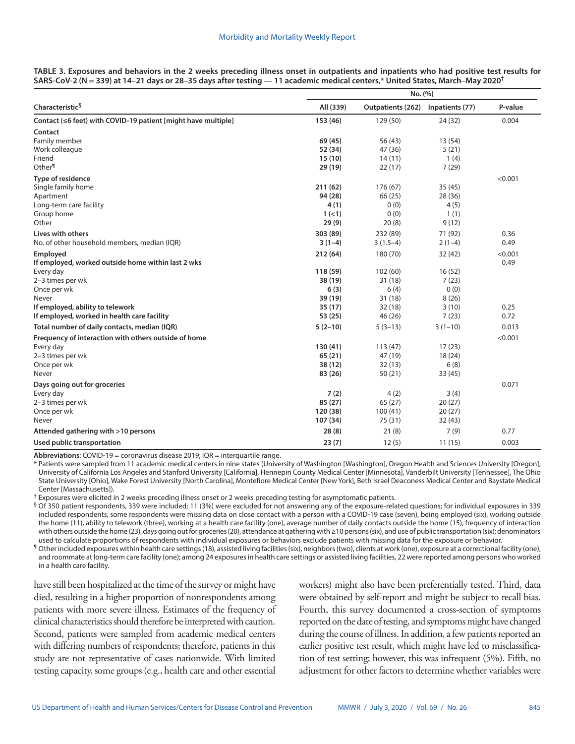|                                                               | .         |                          |                 |         |
|---------------------------------------------------------------|-----------|--------------------------|-----------------|---------|
| Characteristic <sup>§</sup>                                   | All (339) | <b>Outpatients (262)</b> | Inpatients (77) | P-value |
| Contact (≤6 feet) with COVID-19 patient [might have multiple] | 153 (46)  | 129 (50)                 | 24 (32)         | 0.004   |
| Contact                                                       |           |                          |                 |         |
| Family member                                                 | 69 (45)   | 56 (43)                  | 13 (54)         |         |
| Work colleague                                                | 52 (34)   | 47 (36)                  | 5(21)           |         |
| Friend                                                        | 15(10)    | 14(11)                   | 1(4)            |         |
| Other <sup>¶</sup>                                            | 29(19)    | 22(17)                   | 7(29)           |         |
| <b>Type of residence</b>                                      |           |                          |                 | < 0.001 |
| Single family home                                            | 211(62)   | 176 (67)                 | 35(45)          |         |
| Apartment                                                     | 94 (28)   | 66 (25)                  | 28 (36)         |         |
| Long-term care facility                                       | 4(1)      | 0(0)                     | 4(5)            |         |
| Group home                                                    | 1(<1)     | 0(0)                     | 1(1)            |         |
| Other                                                         | 29(9)     | 20(8)                    | 9(12)           |         |
| Lives with others                                             | 303 (89)  | 232 (89)                 | 71 (92)         | 0.36    |
| No. of other household members, median (IQR)                  | $3(1-4)$  | $3(1.5-4)$               | $2(1-4)$        | 0.49    |
| Employed                                                      | 212(64)   | 180 (70)                 | 32 (42)         | < 0.001 |
| If employed, worked outside home within last 2 wks            |           |                          |                 | 0.49    |
| Every day                                                     | 118 (59)  | 102(60)                  | 16(52)          |         |
| 2-3 times per wk                                              | 38 (19)   | 31 (18)                  | 7(23)           |         |
| Once per wk                                                   | 6(3)      | 6(4)                     | 0(0)            |         |
| Never                                                         | 39 (19)   | 31 (18)                  | 8(26)           |         |
| If employed, ability to telework                              | 35(17)    | 32(18)                   | 3(10)           | 0.25    |
| If employed, worked in health care facility                   | 53 (25)   | 46 (26)                  | 7(23)           | 0.72    |
| Total number of daily contacts, median (IQR)                  | $5(2-10)$ | $5(3-13)$                | $3(1-10)$       | 0.013   |
| Frequency of interaction with others outside of home          |           |                          |                 | < 0.001 |
| Every day                                                     | 130 (41)  | 113(47)                  | 17(23)          |         |
| 2-3 times per wk                                              | 65(21)    | 47 (19)                  | 18 (24)         |         |
| Once per wk                                                   | 38(12)    | 32(13)                   | 6(8)            |         |
| Never                                                         | 83 (26)   | 50(21)                   | 33 (45)         |         |
| Days going out for groceries                                  |           |                          |                 | 0.071   |
| Every day                                                     | 7(2)      | 4(2)                     | 3(4)            |         |
| 2-3 times per wk                                              | 85(27)    | 65(27)                   | 20(27)          |         |
| Once per wk                                                   | 120 (38)  | 100(41)                  | 20(27)          |         |
| Never                                                         | 107 (34)  | 75 (31)                  | 32 (43)         |         |
| Attended gathering with >10 persons                           | 28(8)     | 21(8)                    | 7(9)            | 0.77    |
| Used public transportation                                    | 23(7)     | 12(5)                    | 11(15)          | 0.003   |

**TABLE 3. Exposures and behaviors in the 2 weeks preceding illness onset in outpatients and inpatients who had positive test results for SARS-CoV-2 (N = 339) at 14–21 days or 28–35 days after testing — 11 academic medical centers,\* United States, March–May 2020†**

**Abbreviations**: COVID-19 = coronavirus disease 2019; IQR = interquartile range.

\* Patients were sampled from 11 academic medical centers in nine states (University of Washington [Washington], Oregon Health and Sciences University [Oregon], University of California Los Angeles and Stanford University [California], Hennepin County Medical Center [Minnesota], Vanderbilt University [Tennessee], The Ohio State University [Ohio], Wake Forest University [North Carolina], Montefiore Medical Center [New York], Beth Israel Deaconess Medical Center and Baystate Medical Center [Massachusetts]).

 $\dagger$  Exposures were elicited in 2 weeks preceding illness onset or 2 weeks preceding testing for asymptomatic patients.

§ Of 350 patient respondents, 339 were included; 11 (3%) were excluded for not answering any of the exposure-related questions; for individual exposures in 339 included respondents, some respondents were missing data on close contact with a person with a COVID-19 case (seven), being employed (six), working outside the home (11), ability to telework (three), working at a health care facility (one), average number of daily contacts outside the home (15), frequency of interaction with others outside the home (23), days going out for groceries (20), attendance at gathering with ≥10 persons (six), and use of public transportation (six); denominators used to calculate proportions of respondents with individual exposures or behaviors exclude patients with missing data for the exposure or behavior.

¶ Other included exposures within health care settings (18), assisted living facilities (six), neighbors (two), clients at work (one), exposure at a correctional facility (one), and roommate at long-term care facility (one); among 24 exposures in health care settings or assisted living facilities, 22 were reported among persons who worked in a health care facility.

have still been hospitalized at the time of the survey or might have died, resulting in a higher proportion of nonrespondents among patients with more severe illness. Estimates of the frequency of clinical characteristics should therefore be interpreted with caution. Second, patients were sampled from academic medical centers with differing numbers of respondents; therefore, patients in this study are not representative of cases nationwide. With limited testing capacity, some groups (e.g., health care and other essential workers) might also have been preferentially tested. Third, data were obtained by self-report and might be subject to recall bias. Fourth, this survey documented a cross-section of symptoms reported on the date of testing, and symptoms might have changed during the course of illness. In addition, a few patients reported an earlier positive test result, which might have led to misclassification of test setting; however, this was infrequent (5%). Fifth, no adjustment for other factors to determine whether variables were

**No. (%)**